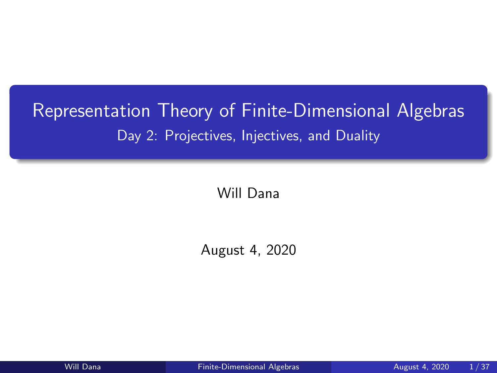# <span id="page-0-0"></span>Representation Theory of Finite-Dimensional Algebras Day 2: Projectives, Injectives, and Duality

Will Dana

August 4, 2020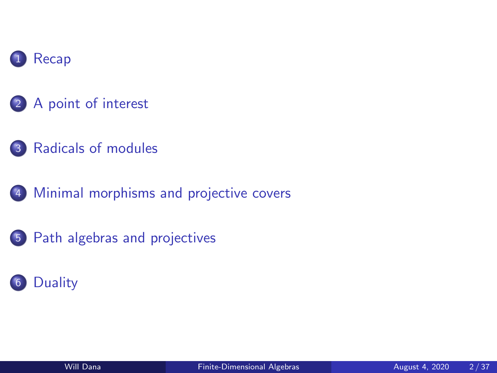

- [A point of interest](#page-3-0)
- [Radicals of modules](#page-4-0)
- [Minimal morphisms and projective covers](#page-6-0)
- [Path algebras and projectives](#page-20-0)

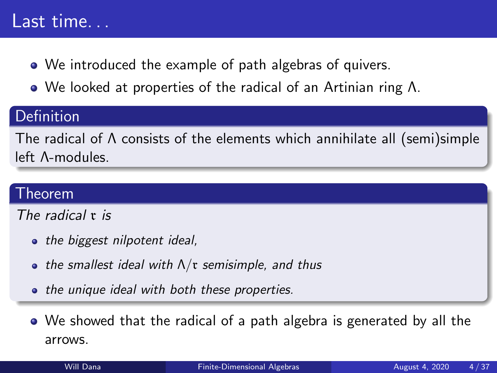# <span id="page-2-0"></span>Last time...

- We introduced the example of path algebras of quivers.
- We looked at properties of the radical of an Artinian ring Λ.

### Definition

The radical of Λ consists of the elements which annihilate all (semi)simple left Λ-modules.

### Theorem

The radical r is

- the biggest nilpotent ideal,
- the smallest ideal with  $\Lambda/\mathfrak{r}$  semisimple, and thus
- the unique ideal with both these properties.
- We showed that the radical of a path algebra is generated by all the arrows.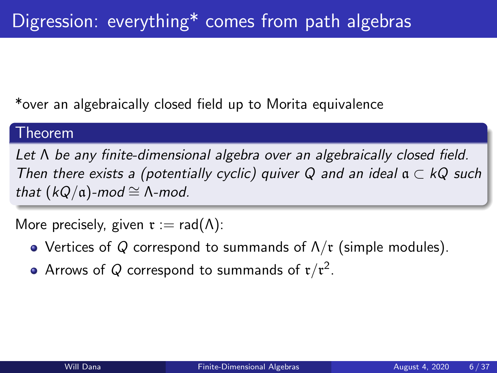<span id="page-3-0"></span>\*over an algebraically closed field up to Morita equivalence

#### Theorem

Let Λ be any finite-dimensional algebra over an algebraically closed field. Then there exists a (potentially cyclic) quiver Q and an ideal  $a \subset kQ$  such that  $(kQ/\mathfrak{a})$ -mod ≅  $\Lambda$ -mod.

More precisely, given  $\mathfrak{r} := \text{rad}(\Lambda)$ :

- Vertices of Q correspond to summands of  $\Lambda/\mathfrak{r}$  (simple modules).
- Arrows of  $Q$  correspond to summands of  $\mathfrak{r}/\mathfrak{r}^2$ .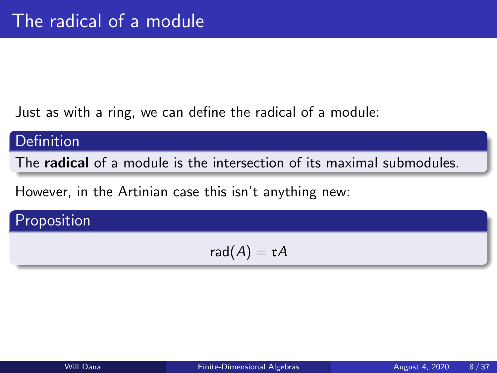<span id="page-4-0"></span>Just as with a ring, we can define the radical of a module:

### Definition

The radical of a module is the intersection of its maximal submodules.

However, in the Artinian case this isn't anything new:

# Proposition

$$
\mathsf{rad}(A)=\mathfrak{r} A
$$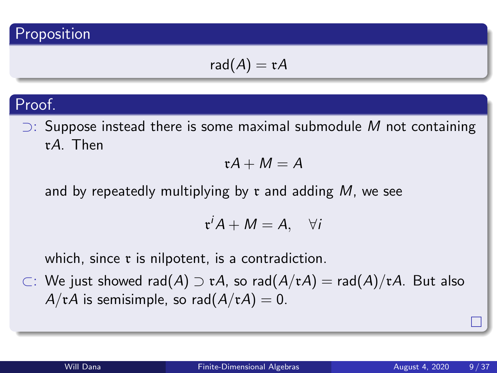### Proposition

$$
\mathsf{rad}(A)=\mathfrak{r} A
$$

### Proof.

 $□$ : Suppose instead there is some maximal submodule M not containing rA. Then

$$
\mathfrak{r} A + M = A
$$

and by repeatedly multiplying by  $r$  and adding  $M$ , we see

$$
\mathfrak{r}^i A + M = A, \quad \forall i
$$

which, since  $\mathfrak r$  is nilpotent, is a contradiction.

⊂: We just showed rad(A) ⊃ rA, so rad(A/rA) = rad(A)/rA. But also  $A/\mathfrak{r}A$  is semisimple, so rad $(A/\mathfrak{r}A) = 0$ .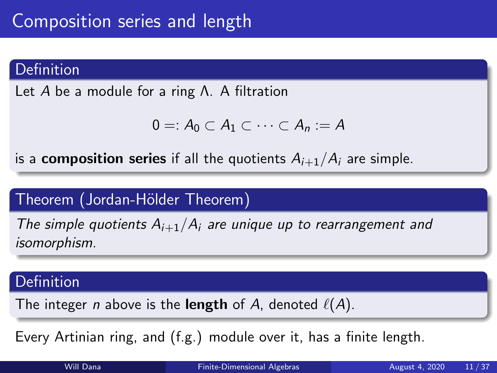### <span id="page-6-0"></span>Definition

Let A be a module for a ring Λ. A filtration

$$
0=:A_0\subset A_1\subset\cdots\subset A_n:=A
$$

is a **composition series** if all the quotients  $A_{i+1}/A_i$  are simple.

### Theorem (Jordan-Hölder Theorem)

The simple quotients  $A_{i+1}/A_i$  are unique up to rearrangement and isomorphism.

#### Definition

The integer *n* above is the **length** of A, denoted  $\ell(A)$ .

Every Artinian ring, and (f.g.) module over it, has a finite length.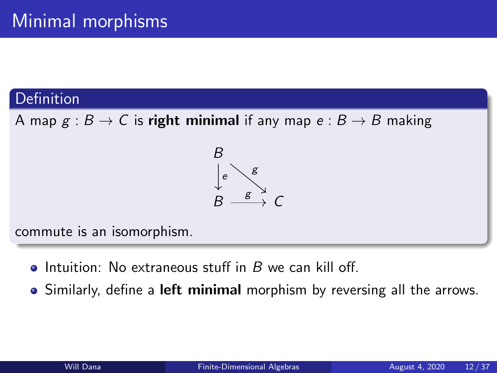### Definition

A map  $g : B \to C$  is right minimal if any map  $e : B \to B$  making



commute is an isomorphism.

- Intuition: No extraneous stuff in  $B$  we can kill off.
- Similarly, define a **left minimal** morphism by reversing all the arrows.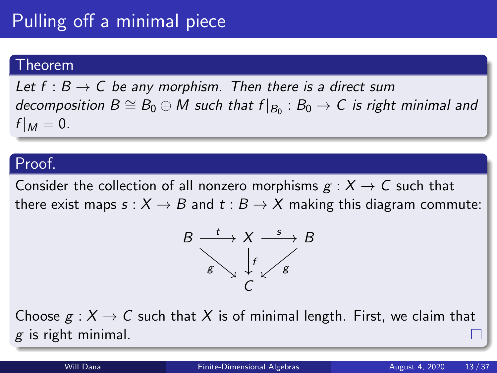Let  $f : B \to C$  be any morphism. Then there is a direct sum decomposition  $B\cong B_0\oplus M$  such that  $f|_{B_0}:B_0\to C$  is right minimal and  $f|_M = 0.$ 

#### Proof.

Consider the collection of all nonzero morphisms  $g: X \to C$  such that there exist maps  $s: X \to B$  and  $t: B \to X$  making this diagram commute:



Choose  $g: X \to C$  such that X is of minimal length. First, we claim that  $g$  is right minimal.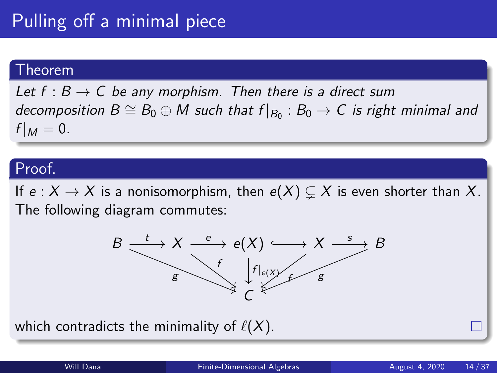Let  $f : B \to C$  be any morphism. Then there is a direct sum decomposition  $B\cong B_0\oplus M$  such that  $f|_{B_0}:B_0\to C$  is right minimal and  $f|_M = 0.$ 

#### Proof.

If  $e: X \to X$  is a nonisomorphism, then  $e(X) \subsetneq X$  is even shorter than X. The following diagram commutes:



which contradicts the minimality of  $\ell(X)$ .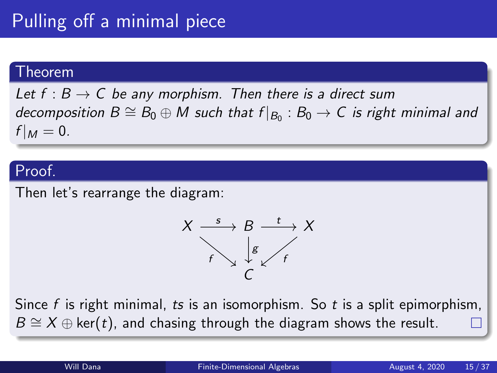Let  $f : B \to C$  be any morphism. Then there is a direct sum decomposition  $B\cong B_0\oplus M$  such that  $f|_{B_0}$  :  $B_0\to C$  is right minimal and  $f|_M = 0.$ 

#### Proof.

Then let's rearrange the diagram:



Since  $f$  is right minimal, ts is an isomorphism. So  $t$  is a split epimorphism,  $B \cong X \oplus \ker(t)$ , and chasing through the diagram shows the result.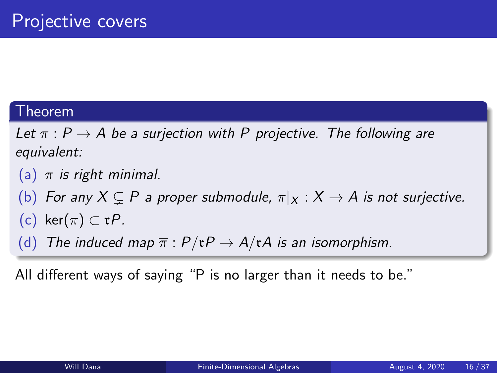Let  $\pi$  :  $P \rightarrow A$  be a surjection with P projective. The following are equivalent:

(a)  $\pi$  is right minimal.

- (b) For any  $X \subseteq P$  a proper submodule,  $\pi|_X : X \to A$  is not surjective.
- (c) ker $(\pi) \subset \mathfrak{r}P$ .
- (d) The induced map  $\overline{\pi}$  :  $P/\mathfrak{r}P \rightarrow A/\mathfrak{r}A$  is an isomorphism.

All different ways of saying "P is no larger than it needs to be."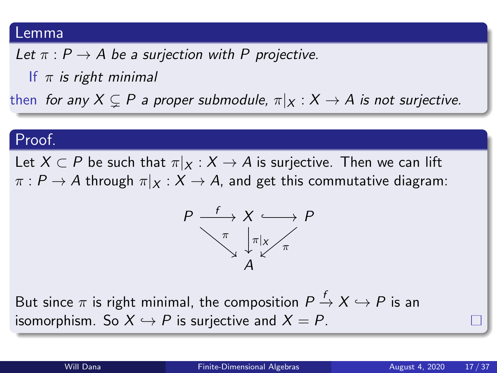#### Lemma

Let  $\pi$  :  $P \rightarrow A$  be a surjection with P projective.

If  $\pi$  is right minimal

then for any  $X \subsetneq P$  a proper submodule,  $\pi|_X : X \to A$  is not surjective.

#### Proof.

Let  $X \subset P$  be such that  $\pi|_X : X \to A$  is surjective. Then we can lift  $\pi : P \to A$  through  $\pi|_X : X \to A$ , and get this commutative diagram:



But since  $\pi$  is right minimal, the composition  $P\stackrel{f}{\to} X\hookrightarrow P$  is an isomorphism. So  $X \hookrightarrow P$  is surjective and  $X = P$ .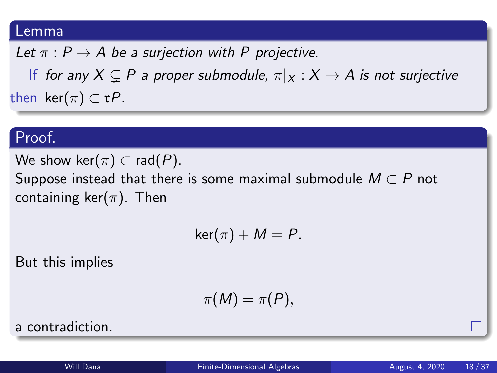#### Lemma

Let  $\pi$  :  $P \rightarrow A$  be a surjection with P projective.

If for any  $X \subseteq P$  a proper submodule,  $\pi|_X : X \to A$  is not surjective then ker $(\pi) \subset \mathfrak{r}P$ .

#### Proof.

We show ker $(\pi) \subset rad(P)$ .

Suppose instead that there is some maximal submodule  $M \subset P$  not containing ker $(\pi)$ . Then

$$
\ker(\pi)+M=P.
$$

But this implies

$$
\pi(M)=\pi(P),
$$

a contradiction.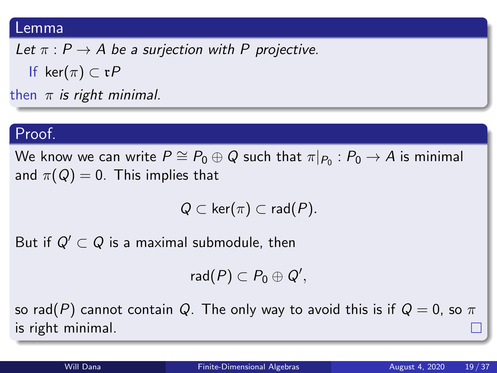#### Lemma

Let  $\pi$  :  $P \rightarrow A$  be a surjection with P projective. If ker $(\pi) \subset rP$ then  $\pi$  is right minimal.

#### Proof.

We know we can write  $P\cong P_0\oplus Q$  such that  $\pi|_{P_0}:P_0\rightarrow A$  is minimal and  $\pi(Q) = 0$ . This implies that

$$
Q\subset \ker(\pi)\subset \mathsf{rad}(P).
$$

But if  $Q' \subset Q$  is a maximal submodule, then

 $\mathsf{rad}(P) \subset P_0 \oplus Q',$ 

so rad(P) cannot contain Q. The only way to avoid this is if  $Q = 0$ , so  $\pi$ is right minimal.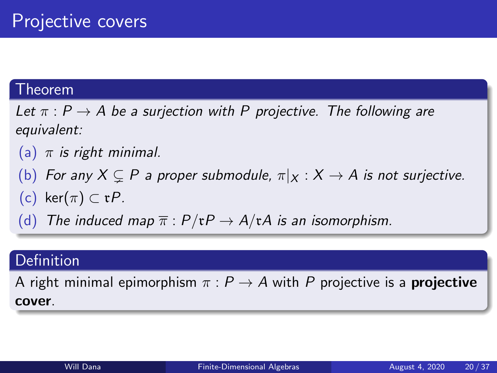Let  $\pi$  :  $P \rightarrow A$  be a surjection with P projective. The following are equivalent:

- (a)  $\pi$  is right minimal.
- (b) For any  $X \subseteq P$  a proper submodule,  $\pi|_X : X \to A$  is not surjective.
- (c) ker $(\pi) \subset \mathfrak{r}P$ .
- (d) The induced map  $\overline{\pi}$  :  $P/\mathfrak{r}P \rightarrow A/\mathfrak{r}A$  is an isomorphism.

### Definition

A right minimal epimorphism  $\pi$  :  $P \rightarrow A$  with P projective is a **projective** cover.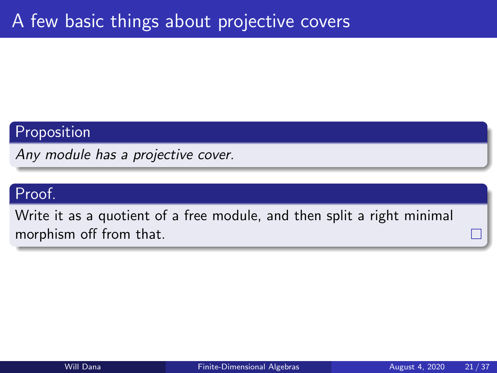## Proposition

Any module has a projective cover.

## Proof.

Write it as a quotient of a free module, and then split a right minimal morphism off from that.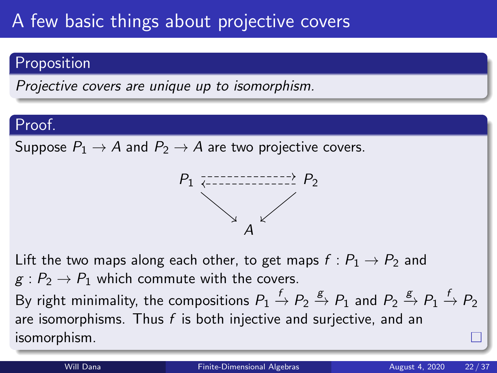## **Proposition**

Projective covers are unique up to isomorphism.

### Proof.

Suppose  $P_1 \rightarrow A$  and  $P_2 \rightarrow A$  are two projective covers.



Lift the two maps along each other, to get maps  $f: P_1 \rightarrow P_2$  and  $g: P_2 \to P_1$  which commute with the covers. By right minimality, the compositions  $P_1\stackrel{f}{\to}P_2\stackrel{g}{\to}P_1$  and  $P_2\stackrel{g}{\to}P_1\stackrel{f}{\to}P_2$ are isomorphisms. Thus  $f$  is both injective and surjective, and an isomorphism.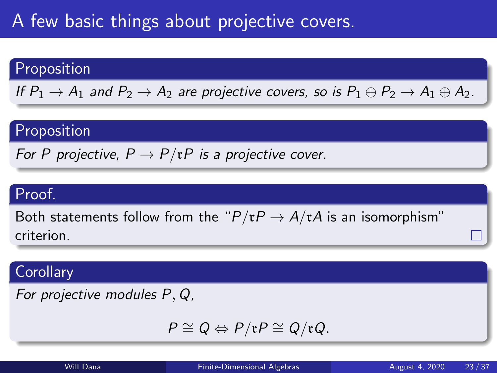# A few basic things about projective covers.

### Proposition

If  $P_1 \rightarrow A_1$  and  $P_2 \rightarrow A_2$  are projective covers, so is  $P_1 \oplus P_2 \rightarrow A_1 \oplus A_2$ .

### Proposition

For P projective,  $P \to P/\tau P$  is a projective cover.

## Proof.

Both statements follow from the " $P/\mathfrak{r}P \to A/\mathfrak{r}A$  is an isomorphism" criterion.

### **Corollary**

For projective modules P, Q,

$$
P \cong Q \Leftrightarrow P/\mathfrak{r}P \cong Q/\mathfrak{r}Q.
$$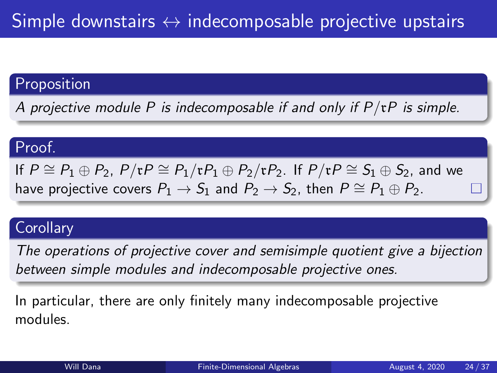## Proposition

A projective module P is indecomposable if and only if  $P/\mathfrak{r}P$  is simple.

### Proof.

If  $P \cong P_1 \oplus P_2$ ,  $P/\mathfrak{r}P \cong P_1/\mathfrak{r}P_1 \oplus P_2/\mathfrak{r}P_2$ . If  $P/\mathfrak{r}P \cong S_1 \oplus S_2$ , and we have projective covers  $P_1 \rightarrow S_1$  and  $P_2 \rightarrow S_2$ , then  $P \cong P_1 \oplus P_2$ .

### **Corollary**

The operations of projective cover and semisimple quotient give a bijection between simple modules and indecomposable projective ones.

In particular, there are only finitely many indecomposable projective modules.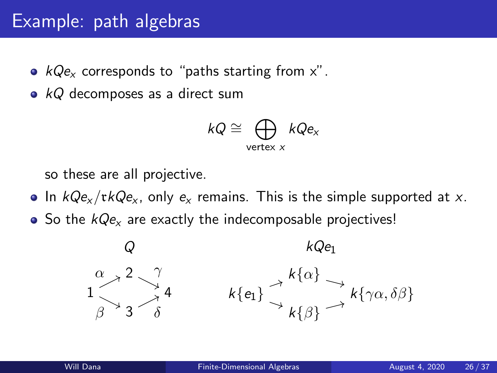- <span id="page-20-0"></span>•  $kQe<sub>x</sub>$  corresponds to "paths starting from x".
- $kQ$  decomposes as a direct sum

$$
kQ \cong \bigoplus_{\mathsf{vertex}\; x} kQe_x
$$

so these are all projective.

- In  $kQe<sub>x</sub>/rkQe<sub>x</sub>$ , only  $e<sub>x</sub>$  remains. This is the simple supported at x.
- $\bullet$  So the  $kQe_{x}$  are exactly the indecomposable projectives!

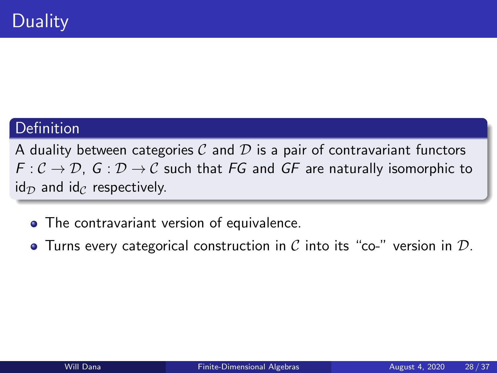### <span id="page-21-0"></span>Definition

A duality between categories  $C$  and  $D$  is a pair of contravariant functors  $F: \mathcal{C} \to \mathcal{D}$ ,  $G: \mathcal{D} \to \mathcal{C}$  such that FG and GF are naturally isomorphic to  $id_{\mathcal{D}}$  and  $id_{\mathcal{C}}$  respectively.

- The contravariant version of equivalence.
- Turns every categorical construction in C into its "co-" version in  $D$ .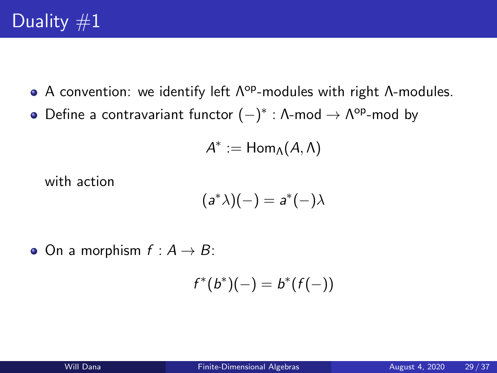- A convention: we identify left  $\Lambda^{op}$ -modules with right  $\Lambda$ -modules.
- Define a contravariant functor  $(-)^*$  : Λ-mod  $\rightarrow$  Λ<sup>op</sup>-mod by

$$
A^*:=\mathsf{Hom}_\Lambda(A,\Lambda)
$$

with action

$$
(a^*\lambda)(-) = a^*(-)\lambda
$$

 $\bullet$  On a morphism  $f : A \rightarrow B$ :

$$
f^*(b^*)(-) = b^*(f(-))
$$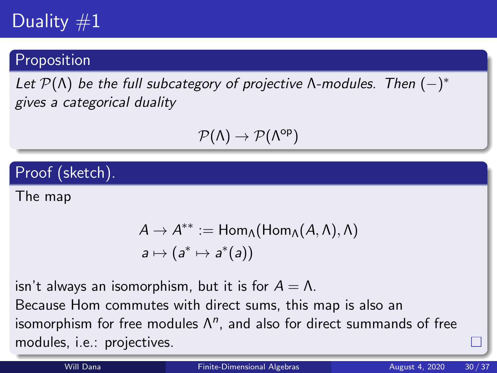# Duality  $#1$

### Proposition

Let  $\mathcal{P}(\Lambda)$  be the full subcategory of projective  $\Lambda$ -modules. Then  $(-)^*$ gives a categorical duality

$$
\mathcal{P}(\Lambda)\to\mathcal{P}(\Lambda^{\text{op}})
$$

Proof (sketch).

The map

$$
A \to A^{**} := \text{Hom}_{\Lambda}(\text{Hom}_{\Lambda}(A, \Lambda), \Lambda)
$$
  

$$
a \mapsto (a^* \mapsto a^*(a))
$$

isn't always an isomorphism, but it is for  $A = \Lambda$ .

Because Hom commutes with direct sums, this map is also an isomorphism for free modules  $\Lambda^n$ , and also for direct summands of free modules, i.e.: projectives.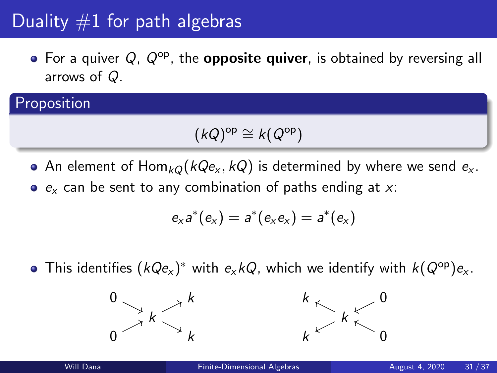# Duality  $#1$  for path algebras

 $\bullet$  For a quiver Q,  $Q^{\rm op}$ , the **opposite quiver**, is obtained by reversing all arrows of Q.

## Proposition

$$
(kQ)^{\mathrm{op}} \cong k(Q^{\mathrm{op}})
$$

- An element of  $\text{Hom}_{kQ}(kQe_{x}, kQ)$  is determined by where we send  $e_{x}$ .
- $e_x$  can be sent to any combination of paths ending at x:

$$
e_xa^*(e_x)=a^*(e_xe_x)=a^*(e_x)
$$

This identifies  $(kQ \mathsf{e}_{\mathsf{x}})^*$  with  $\mathsf{e}_{\mathsf{x}} kQ$ , which we identify with  $k(Q^\mathsf{op}) \mathsf{e}_{\mathsf{x}}.$ 



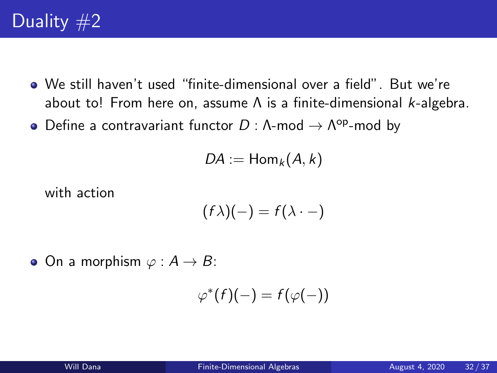- We still haven't used "finite-dimensional over a field". But we're about to! From here on, assume  $\Lambda$  is a finite-dimensional *k*-algebra.
- Define a contravariant functor  $D: \Lambda$ -mod  $\to \Lambda^{\mathsf{op}}$ -mod by

$$
DA:=\mathsf{Hom}_k(A,k)
$$

with action

$$
(f\lambda)(-) = f(\lambda \cdot -)
$$

• On a morphism  $\varphi : A \to B$ :

$$
\varphi^*(f)(-) = f(\varphi(-))
$$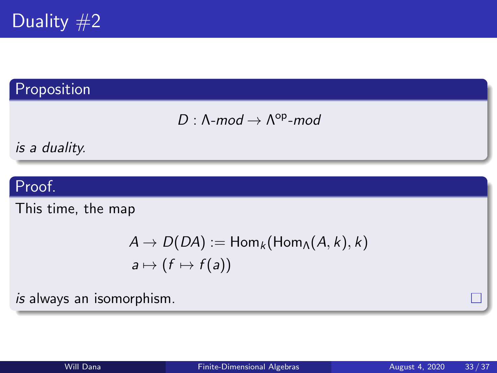

## Proposition

$$
D:\Lambda\text{-mod}\to\Lambda^{op}\text{-mod}
$$

is a duality.

### Proof.

This time, the map

$$
A \to D(DA) := \text{Hom}_k(\text{Hom}_A(A, k), k)
$$
  

$$
a \mapsto (f \mapsto f(a))
$$

is always an isomorphism.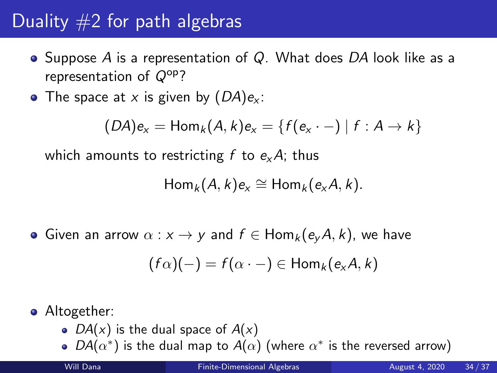# Duality  $#2$  for path algebras

- Suppose A is a representation of  $Q$ . What does DA look like as a representation of  $Q^{op}$ ?
- The space at x is given by  $(DA)e<sub>x</sub>$ :

$$
(D A)e_x = \text{Hom}_k(A, k)e_x = \{f(e_x \cdot -) | f : A \rightarrow k\}
$$

which amounts to restricting f to  $e_{x}A$ ; thus

$$
Hom_k(A,k)e_x \cong Hom_k(e_xA,k).
$$

• Given an arrow  $\alpha : x \to y$  and  $f \in Hom_k(e_vA, k)$ , we have

$$
(f\alpha)(-) = f(\alpha \cdot -) \in \mathsf{Hom}_k(e_xA, k)
$$

• Altogether:

- $DA(x)$  is the dual space of  $A(x)$
- $DA(\alpha^*)$  is the dual map to  $A(\alpha)$  (where  $\alpha^*$  is the reversed arrow)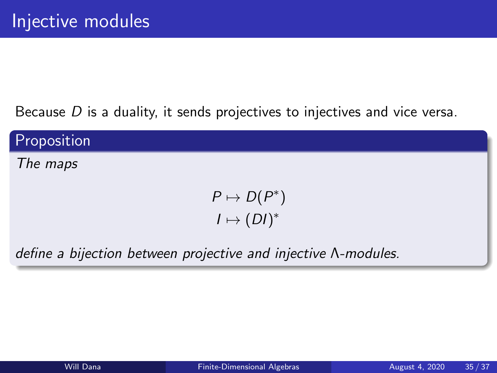Because  $D$  is a duality, it sends projectives to injectives and vice versa.

Proposition

The maps

 $P \mapsto D(P^*)$  $I \mapsto (DI)^*$ 

define a bijection between projective and injective Λ-modules.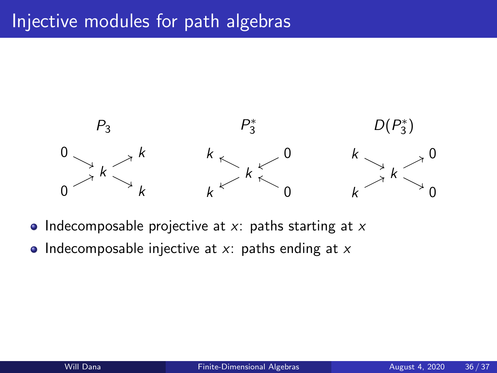

- Indecomposable projective at  $x$ : paths starting at  $x$
- Indecomposable injective at  $x$ : paths ending at  $x$